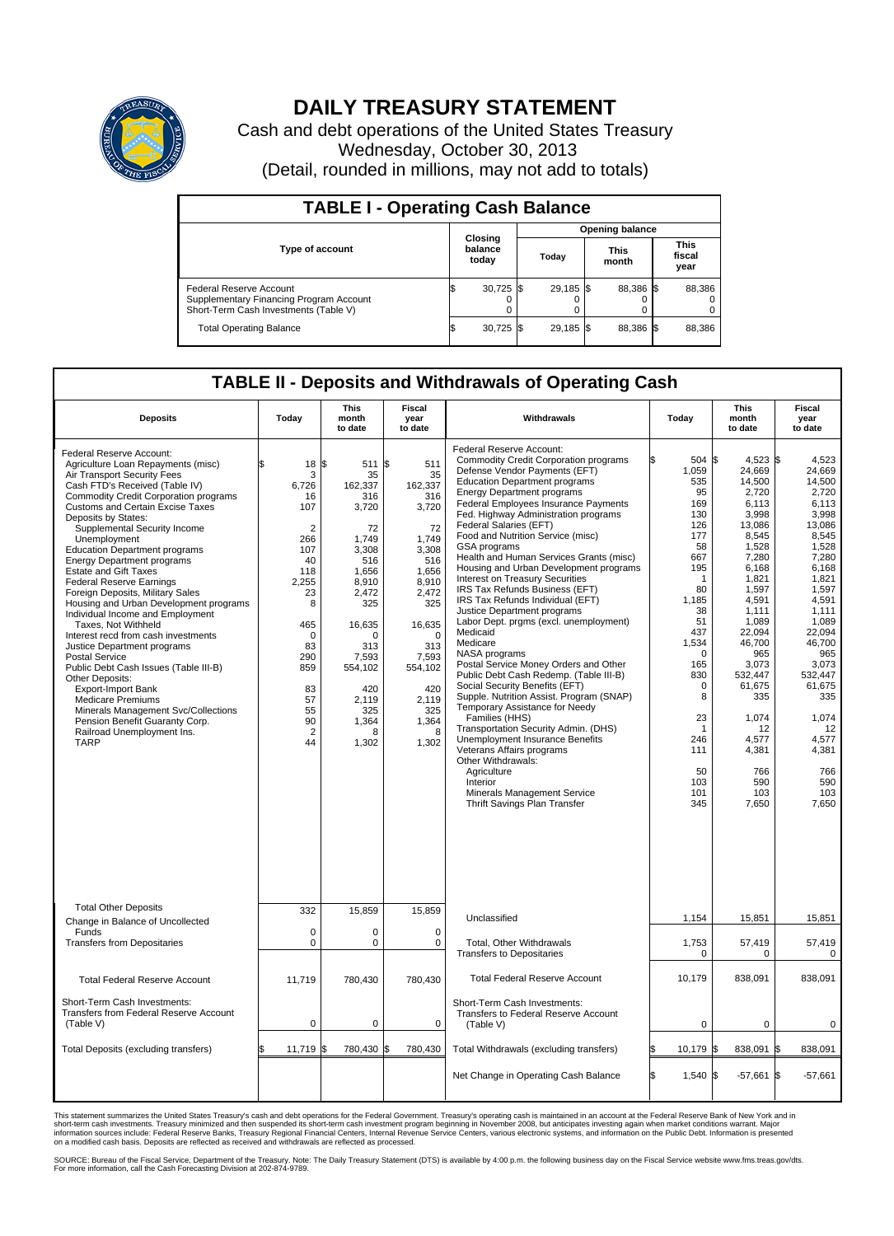

## **DAILY TREASURY STATEMENT**

Cash and debt operations of the United States Treasury Wednesday, October 30, 2013 (Detail, rounded in millions, may not add to totals)

| <b>TABLE I - Operating Cash Balance</b>                                                                            |    |                             |      |                        |  |                      |  |                               |  |  |
|--------------------------------------------------------------------------------------------------------------------|----|-----------------------------|------|------------------------|--|----------------------|--|-------------------------------|--|--|
|                                                                                                                    |    | Closing<br>balance<br>today |      | <b>Opening balance</b> |  |                      |  |                               |  |  |
| <b>Type of account</b>                                                                                             |    |                             |      | Today                  |  | <b>This</b><br>month |  | <b>This</b><br>fiscal<br>year |  |  |
| <b>Federal Reserve Account</b><br>Supplementary Financing Program Account<br>Short-Term Cash Investments (Table V) |    | 30,725                      | -156 | 29,185 \$              |  | 88,386 \$            |  | 88,386                        |  |  |
| <b>Total Operating Balance</b>                                                                                     | ß. | 30,725                      |      | 29.185 \$              |  | 88.386 \$            |  | 88,386                        |  |  |

## **TABLE II - Deposits and Withdrawals of Operating Cash**

| <b>Deposits</b>                                                                                                                                                                                                                                                                                                                                                                                                                                                                                                                                                                                                                                                                                                                                                                                                                                                                                                                      | Today                                                                                                                                                                                                          | <b>This</b><br>month<br>to date                                                                                                                                                                | <b>Fiscal</b><br>year<br>to date                                                                                                                                                                     | Withdrawals                                                                                                                                                                                                                                                                                                                                                                                                                                                                                                                                                                                                                                                                                                                                                                                                                                                                                                                                                                                                                                                                                                               | Today                                                                                                                                                                                                                              | <b>This</b><br>month<br>to date                                                                                                                                                                                                                                                       | <b>Fiscal</b><br>year<br>to date                                                                                                                                                                                                                                                      |
|--------------------------------------------------------------------------------------------------------------------------------------------------------------------------------------------------------------------------------------------------------------------------------------------------------------------------------------------------------------------------------------------------------------------------------------------------------------------------------------------------------------------------------------------------------------------------------------------------------------------------------------------------------------------------------------------------------------------------------------------------------------------------------------------------------------------------------------------------------------------------------------------------------------------------------------|----------------------------------------------------------------------------------------------------------------------------------------------------------------------------------------------------------------|------------------------------------------------------------------------------------------------------------------------------------------------------------------------------------------------|------------------------------------------------------------------------------------------------------------------------------------------------------------------------------------------------------|---------------------------------------------------------------------------------------------------------------------------------------------------------------------------------------------------------------------------------------------------------------------------------------------------------------------------------------------------------------------------------------------------------------------------------------------------------------------------------------------------------------------------------------------------------------------------------------------------------------------------------------------------------------------------------------------------------------------------------------------------------------------------------------------------------------------------------------------------------------------------------------------------------------------------------------------------------------------------------------------------------------------------------------------------------------------------------------------------------------------------|------------------------------------------------------------------------------------------------------------------------------------------------------------------------------------------------------------------------------------|---------------------------------------------------------------------------------------------------------------------------------------------------------------------------------------------------------------------------------------------------------------------------------------|---------------------------------------------------------------------------------------------------------------------------------------------------------------------------------------------------------------------------------------------------------------------------------------|
| Federal Reserve Account:<br>Agriculture Loan Repayments (misc)<br>Air Transport Security Fees<br>Cash FTD's Received (Table IV)<br><b>Commodity Credit Corporation programs</b><br><b>Customs and Certain Excise Taxes</b><br>Deposits by States:<br>Supplemental Security Income<br>Unemployment<br><b>Education Department programs</b><br><b>Energy Department programs</b><br><b>Estate and Gift Taxes</b><br><b>Federal Reserve Earnings</b><br>Foreign Deposits, Military Sales<br>Housing and Urban Development programs<br>Individual Income and Employment<br>Taxes. Not Withheld<br>Interest recd from cash investments<br>Justice Department programs<br><b>Postal Service</b><br>Public Debt Cash Issues (Table III-B)<br>Other Deposits:<br><b>Export-Import Bank</b><br><b>Medicare Premiums</b><br>Minerals Management Svc/Collections<br>Pension Benefit Guaranty Corp.<br>Railroad Unemployment Ins.<br><b>TARP</b> | \$<br>$18 \,$ $\uparrow$<br>3<br>6,726<br>16<br>107<br>$\overline{2}$<br>266<br>107<br>40<br>118<br>2,255<br>23<br>8<br>465<br>$\mathbf 0$<br>83<br>290<br>859<br>83<br>57<br>55<br>90<br>$\overline{2}$<br>44 | 511S<br>35<br>162,337<br>316<br>3,720<br>72<br>1,749<br>3,308<br>516<br>1,656<br>8,910<br>2,472<br>325<br>16,635<br>ŋ<br>313<br>7,593<br>554,102<br>420<br>2,119<br>325<br>1,364<br>Я<br>1,302 | 511<br>35<br>162,337<br>316<br>3,720<br>72<br>1,749<br>3,308<br>516<br>1,656<br>8,910<br>2,472<br>325<br>16,635<br>$\Omega$<br>313<br>7,593<br>554,102<br>420<br>2,119<br>325<br>1,364<br>8<br>1,302 | Federal Reserve Account:<br><b>Commodity Credit Corporation programs</b><br>Defense Vendor Payments (EFT)<br><b>Education Department programs</b><br><b>Energy Department programs</b><br><b>Federal Employees Insurance Payments</b><br>Fed. Highway Administration programs<br>Federal Salaries (EFT)<br>Food and Nutrition Service (misc)<br>GSA programs<br>Health and Human Services Grants (misc)<br>Housing and Urban Development programs<br>Interest on Treasury Securities<br>IRS Tax Refunds Business (EFT)<br>IRS Tax Refunds Individual (EFT)<br>Justice Department programs<br>Labor Dept. prgms (excl. unemployment)<br>Medicaid<br>Medicare<br>NASA programs<br>Postal Service Money Orders and Other<br>Public Debt Cash Redemp. (Table III-B)<br>Social Security Benefits (EFT)<br>Supple. Nutrition Assist. Program (SNAP)<br>Temporary Assistance for Needy<br>Families (HHS)<br>Transportation Security Admin. (DHS)<br>Unemployment Insurance Benefits<br>Veterans Affairs programs<br>Other Withdrawals:<br>Agriculture<br>Interior<br>Minerals Management Service<br>Thrift Savings Plan Transfer | 504<br>1,059<br>535<br>95<br>169<br>130<br>126<br>177<br>58<br>667<br>195<br>-1<br>80<br>1.185<br>38<br>51<br>437<br>1,534<br>$\mathbf 0$<br>165<br>830<br>0<br>8<br>23<br>$\overline{1}$<br>246<br>111<br>50<br>103<br>101<br>345 | 4,523<br>l\$<br>24,669<br>14,500<br>2,720<br>6,113<br>3,998<br>13,086<br>8,545<br>1.528<br>7,280<br>6,168<br>1,821<br>1,597<br>4,591<br>1,111<br>1,089<br>22.094<br>46,700<br>965<br>3,073<br>532.447<br>61,675<br>335<br>1,074<br>12<br>4,577<br>4,381<br>766<br>590<br>103<br>7,650 | l\$<br>4,523<br>24,669<br>14,500<br>2,720<br>6,113<br>3.998<br>13,086<br>8,545<br>1.528<br>7,280<br>6,168<br>1.821<br>1,597<br>4,591<br>1,111<br>1,089<br>22.094<br>46,700<br>965<br>3,073<br>532.447<br>61,675<br>335<br>1,074<br>12<br>4,577<br>4,381<br>766<br>590<br>103<br>7,650 |
| <b>Total Other Deposits</b>                                                                                                                                                                                                                                                                                                                                                                                                                                                                                                                                                                                                                                                                                                                                                                                                                                                                                                          | 332                                                                                                                                                                                                            | 15,859                                                                                                                                                                                         | 15,859                                                                                                                                                                                               |                                                                                                                                                                                                                                                                                                                                                                                                                                                                                                                                                                                                                                                                                                                                                                                                                                                                                                                                                                                                                                                                                                                           |                                                                                                                                                                                                                                    |                                                                                                                                                                                                                                                                                       |                                                                                                                                                                                                                                                                                       |
| Change in Balance of Uncollected<br>Funds                                                                                                                                                                                                                                                                                                                                                                                                                                                                                                                                                                                                                                                                                                                                                                                                                                                                                            | $\mathbf 0$                                                                                                                                                                                                    | 0                                                                                                                                                                                              | $\mathbf 0$                                                                                                                                                                                          | Unclassified                                                                                                                                                                                                                                                                                                                                                                                                                                                                                                                                                                                                                                                                                                                                                                                                                                                                                                                                                                                                                                                                                                              | 1,154                                                                                                                                                                                                                              | 15,851                                                                                                                                                                                                                                                                                | 15,851                                                                                                                                                                                                                                                                                |
| <b>Transfers from Depositaries</b>                                                                                                                                                                                                                                                                                                                                                                                                                                                                                                                                                                                                                                                                                                                                                                                                                                                                                                   | $\mathbf 0$                                                                                                                                                                                                    | $\Omega$                                                                                                                                                                                       | $\mathbf 0$                                                                                                                                                                                          | Total, Other Withdrawals<br><b>Transfers to Depositaries</b>                                                                                                                                                                                                                                                                                                                                                                                                                                                                                                                                                                                                                                                                                                                                                                                                                                                                                                                                                                                                                                                              | 1,753<br>0                                                                                                                                                                                                                         | 57,419<br>0                                                                                                                                                                                                                                                                           | 57,419<br>0                                                                                                                                                                                                                                                                           |
| <b>Total Federal Reserve Account</b>                                                                                                                                                                                                                                                                                                                                                                                                                                                                                                                                                                                                                                                                                                                                                                                                                                                                                                 | 11,719                                                                                                                                                                                                         | 780,430                                                                                                                                                                                        | 780,430                                                                                                                                                                                              | <b>Total Federal Reserve Account</b>                                                                                                                                                                                                                                                                                                                                                                                                                                                                                                                                                                                                                                                                                                                                                                                                                                                                                                                                                                                                                                                                                      | 10,179                                                                                                                                                                                                                             | 838,091                                                                                                                                                                                                                                                                               | 838,091                                                                                                                                                                                                                                                                               |
| Short-Term Cash Investments:<br>Transfers from Federal Reserve Account<br>(Table V)                                                                                                                                                                                                                                                                                                                                                                                                                                                                                                                                                                                                                                                                                                                                                                                                                                                  | $\mathbf 0$                                                                                                                                                                                                    | 0                                                                                                                                                                                              | $\mathbf 0$                                                                                                                                                                                          | Short-Term Cash Investments:<br>Transfers to Federal Reserve Account<br>(Table V)                                                                                                                                                                                                                                                                                                                                                                                                                                                                                                                                                                                                                                                                                                                                                                                                                                                                                                                                                                                                                                         | $\mathbf 0$                                                                                                                                                                                                                        | $\mathbf 0$                                                                                                                                                                                                                                                                           | $\mathbf 0$                                                                                                                                                                                                                                                                           |
| Total Deposits (excluding transfers)                                                                                                                                                                                                                                                                                                                                                                                                                                                                                                                                                                                                                                                                                                                                                                                                                                                                                                 | 11,719                                                                                                                                                                                                         | 780,430<br>\$                                                                                                                                                                                  | 780,430                                                                                                                                                                                              | Total Withdrawals (excluding transfers)                                                                                                                                                                                                                                                                                                                                                                                                                                                                                                                                                                                                                                                                                                                                                                                                                                                                                                                                                                                                                                                                                   | 10,179                                                                                                                                                                                                                             | 838,091                                                                                                                                                                                                                                                                               | 838,091<br>\$                                                                                                                                                                                                                                                                         |
|                                                                                                                                                                                                                                                                                                                                                                                                                                                                                                                                                                                                                                                                                                                                                                                                                                                                                                                                      |                                                                                                                                                                                                                |                                                                                                                                                                                                |                                                                                                                                                                                                      | Net Change in Operating Cash Balance                                                                                                                                                                                                                                                                                                                                                                                                                                                                                                                                                                                                                                                                                                                                                                                                                                                                                                                                                                                                                                                                                      | 1,540<br>ß.                                                                                                                                                                                                                        | \$<br>-57,661                                                                                                                                                                                                                                                                         | 1\$<br>$-57,661$                                                                                                                                                                                                                                                                      |

This statement summarizes the United States Treasury's cash and debt operations for the Federal Government. Treasury's operating cash is maintained in an account at the Federal Reserve Bank of New York and in<br>informetion c

SOURCE: Bureau of the Fiscal Service, Department of the Treasury. Note: The Daily Treasury Statement (DTS) is available by 4:00 p.m. the following business day on the Fiscal Service website www.fms.treas.gov/dts.<br>For more